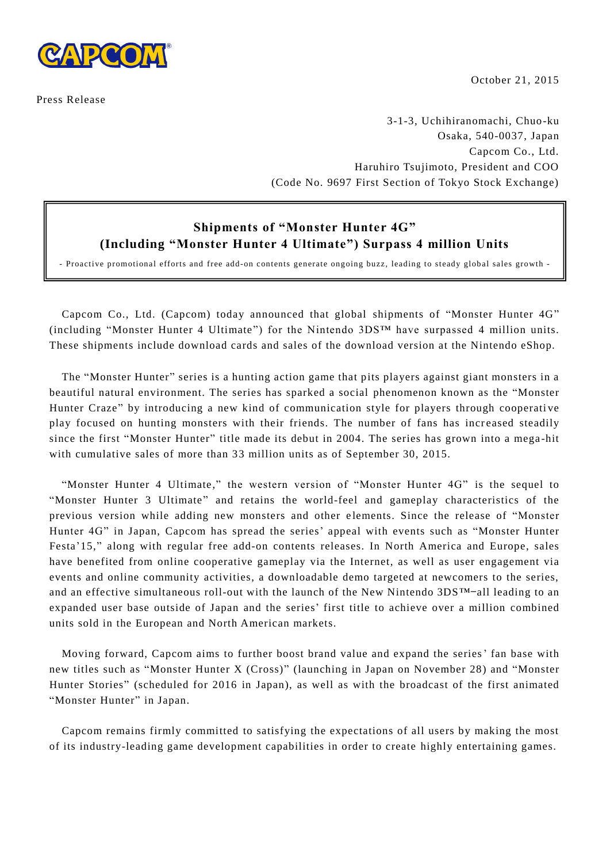

Press Release

October 21, 2015

3-1-3, Uchihiranomachi, Chuo-ku Osaka, 540-0037, Japan Capcom Co., Ltd. Haruhiro Tsujimoto, President and COO (Code No. 9697 First Section of Tokyo Stock Exchange)

## **Shipments of "Monster Hunter 4G" (Including "Monster Hunter 4 Ultimate") Surpass 4 million Units**

- Proactive promotional efforts and free add-on contents generate ongoing buzz, leading to steady global sales growth -

Capcom Co., Ltd. (Capcom) today announced that global shipments of "Monster Hunter 4G" (including "Monster Hunter 4 Ultimate") for the Nintendo 3DS™ have surpassed 4 million units. These shipments include download cards and sales of the download version at the Nintendo eShop.

The "Monster Hunter" series is a hunting action game that pits players against giant monsters in a beautiful natural environment. The series has sparked a social phenomenon known as the "Monster Hunter Craze" by introducing a new kind of communication style for players through cooperati ve play focused on hunting monsters with their friends. The number of fans has increased steadily since the first "Monster Hunter" title made its debut in 2004. The series has grown into a mega -hit with cumulative sales of more than 33 million units as of September 30, 2015.

"Monster Hunter 4 Ultimate," the western version of "Monster Hunter 4G" is the sequel to "Monster Hunter 3 Ultimate" and retains the world-feel and gameplay characteristics of the previous version while adding new monsters and other elements. Since the release of "Monster Hunter 4G" in Japan, Capcom has spread the series' appeal with events such as "Monster Hunter Festa'15," along with regular free add-on contents releases. In North America and Europe, sales have benefited from online cooperative gameplay via the Internet, as well as user engagement via events and online community activities, a downloadable demo targeted at newcomers to the series, and an effective simultaneous roll-out with the launch of the New Nintendo 3DS™—all leading to an expanded user base outside of Japan and the series' first title to achieve over a million combined units sold in the European and North American markets.

Moving forward, Capcom aims to further boost brand value and expand the series' fan base with new titles such as "Monster Hunter X (Cross)" (launching in Japan on November 28) and "Monster Hunter Stories" (scheduled for 2016 in Japan), as well as with the broadcast of the first animated "Monster Hunter" in Japan.

Capcom remains firmly committed to satisfying the expectations of all users by making the most of its industry-leading game development capabilities in order to create highly entertaining games.